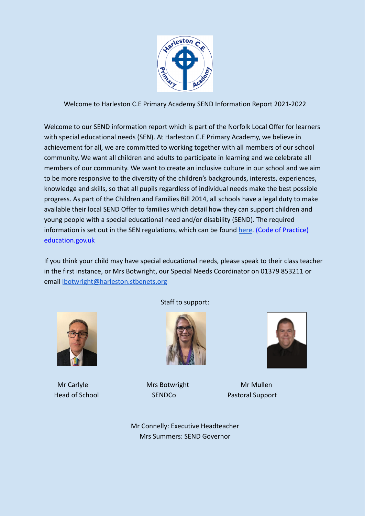

Welcome to Harleston C.E Primary Academy SEND Information Report 2021-2022

Welcome to our SEND information report which is part of the Norfolk Local Offer for learners with special educational needs (SEN). At Harleston C.E Primary Academy, we believe in achievement for all, we are committed to working together with all members of our school community. We want all children and adults to participate in learning and we celebrate all members of our community. We want to create an inclusive culture in our school and we aim to be more responsive to the diversity of the children's backgrounds, interests, experiences, knowledge and skills, so that all pupils regardless of individual needs make the best possible progress. As part of the Children and Families Bill 2014, all schools have a legal duty to make available their local SEND Offer to families which detail how they can support children and young people with a special educational need and/or disability (SEND). The required information is set out in the SEN regulations, which can be found [here.](https://www.gov.uk/government/publications/send-code-of-practice-0-to-25) (Code of Practice) education.gov.uk

If you think your child may have special educational needs, please speak to their class teacher in the first instance, or Mrs Botwright, our Special Needs Coordinator on 01379 853211 or email [lbotwright@harleston.stbenets.org](mailto:lbotwright@harleston.stbenets.org)



Staff to support:



Mr Carlyle **Mrs Botwright** Mr Mullen



**Head of School SENDCo** Rastoral Support

Mr Connelly: Executive Headteacher Mrs Summers: SEND Governor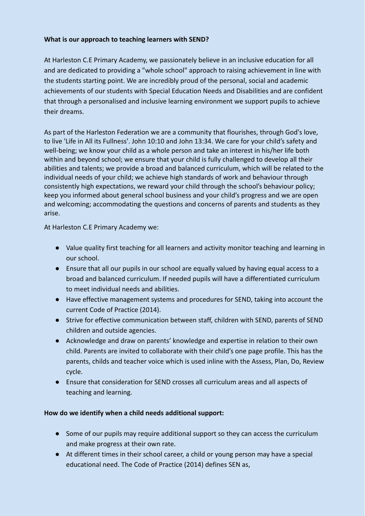## **What is our approach to teaching learners with SEND?**

At Harleston C.E Primary Academy, we passionately believe in an inclusive education for all and are dedicated to providing a "whole school" approach to raising achievement in line with the students starting point. We are incredibly proud of the personal, social and academic achievements of our students with Special Education Needs and Disabilities and are confident that through a personalised and inclusive learning environment we support pupils to achieve their dreams.

As part of the Harleston Federation we are a community that flourishes, through God's love, to live 'Life in All its Fullness'. John 10:10 and John 13:34. We care for your child's safety and well-being; we know your child as a whole person and take an interest in his/her life both within and beyond school; we ensure that your child is fully challenged to develop all their abilities and talents; we provide a broad and balanced curriculum, which will be related to the individual needs of your child; we achieve high standards of work and behaviour through consistently high expectations, we reward your child through the school's behaviour policy; keep you informed about general school business and your child's progress and we are open and welcoming; accommodating the questions and concerns of parents and students as they arise.

At Harleston C.E Primary Academy we:

- Value quality first teaching for all learners and activity monitor teaching and learning in our school.
- Ensure that all our pupils in our school are equally valued by having equal access to a broad and balanced curriculum. If needed pupils will have a differentiated curriculum to meet individual needs and abilities.
- Have effective management systems and procedures for SEND, taking into account the current Code of Practice (2014).
- Strive for effective communication between staff, children with SEND, parents of SEND children and outside agencies.
- Acknowledge and draw on parents' knowledge and expertise in relation to their own child. Parents are invited to collaborate with their child's one page profile. This has the parents, childs and teacher voice which is used inline with the Assess, Plan, Do, Review cycle.
- Ensure that consideration for SEND crosses all curriculum areas and all aspects of teaching and learning.

## **How do we identify when a child needs additional support:**

- Some of our pupils may require additional support so they can access the curriculum and make progress at their own rate.
- At different times in their school career, a child or young person may have a special educational need. The Code of Practice (2014) defines SEN as,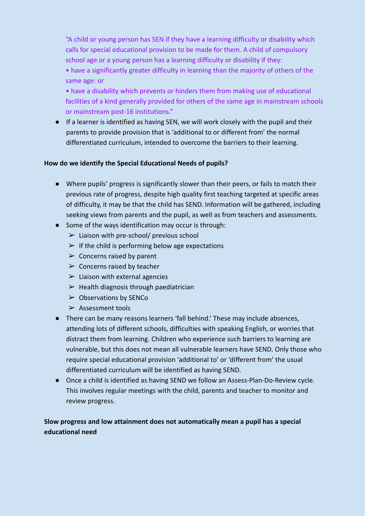"A child or young person has SEN if they have a learning difficulty or disability which calls for special educational provision to be made for them. A child of compulsory school age or a young person has a learning difficulty or disability if they:

• have a significantly greater difficulty in learning than the majority of others of the same age: or

• have a disability which prevents or hinders them from making use of educational facilities of a kind generally provided for others of the same age in mainstream schools or mainstream post-16 institutions."

● If a learner is identified as having SEN, we will work closely with the pupil and their parents to provide provision that is 'additional to or different from' the normal differentiated curriculum, intended to overcome the barriers to their learning.

#### **How do we identify the Special Educational Needs of pupils?**

- Where pupils' progress is significantly slower than their peers, or fails to match their previous rate of progress, despite high quality first teaching targeted at specific areas of difficulty, it may be that the child has SEND. Information will be gathered, including seeking views from parents and the pupil, as well as from teachers and assessments.
- Some of the ways identification may occur is through:
	- $\triangleright$  Liaison with pre-school/ previous school
	- $\triangleright$  If the child is performing below age expectations
	- $\triangleright$  Concerns raised by parent
	- $\triangleright$  Concerns raised by teacher
	- $\triangleright$  Liaison with external agencies
	- $\triangleright$  Health diagnosis through paediatrician
	- $\triangleright$  Observations by SENCo
	- ➢ Assessment tools
- There can be many reasons learners 'fall behind.' These may include absences, attending lots of different schools, difficulties with speaking English, or worries that distract them from learning. Children who experience such barriers to learning are vulnerable, but this does not mean all vulnerable learners have SEND. Only those who require special educational provision 'additional to' or 'different from' the usual differentiated curriculum will be identified as having SEND.
- Once a child is identified as having SEND we follow an Assess-Plan-Do-Review cycle. This involves regular meetings with the child, parents and teacher to monitor and review progress.

# **Slow progress and low attainment does not automatically mean a pupil has a special educational need**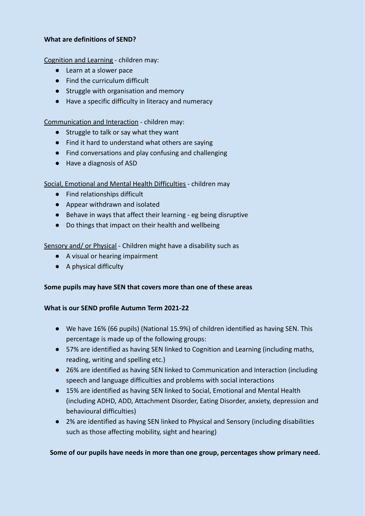#### **What are definitions of SEND?**

Cognition and Learning - children may:

- Learn at a slower pace
- Find the curriculum difficult
- Struggle with organisation and memory
- Have a specific difficulty in literacy and numeracy

Communication and Interaction - children may:

- Struggle to talk or say what they want
- Find it hard to understand what others are saying
- Find conversations and play confusing and challenging
- Have a diagnosis of ASD

Social, Emotional and Mental Health Difficulties - children may

- Find relationships difficult
- Appear withdrawn and isolated
- Behave in ways that affect their learning eg being disruptive
- Do things that impact on their health and wellbeing

Sensory and/ or Physical - Children might have a disability such as

- A visual or hearing impairment
- A physical difficulty

#### **Some pupils may have SEN that covers more than one of these areas**

#### **What is our SEND profile Autumn Term 2021-22**

- We have 16% (66 pupils) (National 15.9%) of children identified as having SEN. This percentage is made up of the following groups:
- 57% are identified as having SEN linked to Cognition and Learning (including maths, reading, writing and spelling etc.)
- 26% are identified as having SEN linked to Communication and Interaction (including speech and language difficulties and problems with social interactions
- 15% are identified as having SEN linked to Social, Emotional and Mental Health (including ADHD, ADD, Attachment Disorder, Eating Disorder, anxiety, depression and behavioural difficulties)
- 2% are identified as having SEN linked to Physical and Sensory (including disabilities such as those affecting mobility, sight and hearing)

**Some of our pupils have needs in more than one group, percentages show primary need.**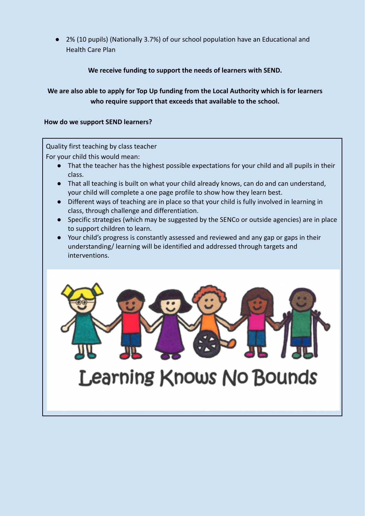2% (10 pupils) (Nationally 3.7%) of our school population have an Educational and Health Care Plan

# **We receive funding to support the needs of learners with SEND.**

# **We are also able to apply for Top Up funding from the Local Authority which is for learners who require support that exceeds that available to the school.**

#### **How do we support SEND learners?**

Quality first teaching by class teacher

For your child this would mean:

- That the teacher has the highest possible expectations for your child and all pupils in their class.
- That all teaching is built on what your child already knows, can do and can understand, your child will complete a one page profile to show how they learn best.
- Different ways of teaching are in place so that your child is fully involved in learning in class, through challenge and differentiation.
- Specific strategies (which may be suggested by the SENCo or outside agencies) are in place to support children to learn.
- Your child's progress is constantly assessed and reviewed and any gap or gaps in their understanding/ learning will be identified and addressed through targets and interventions.



# **Learning Knows No Bounds**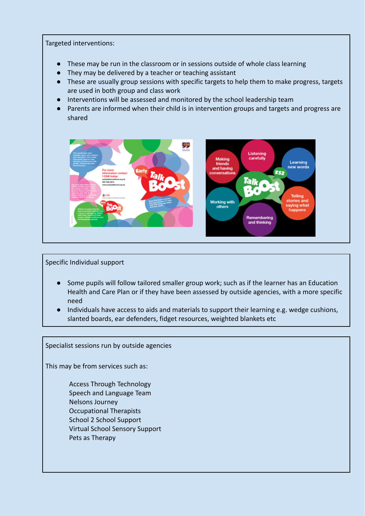#### Targeted interventions:

- These may be run in the classroom or in sessions outside of whole class learning
- They may be delivered by a teacher or teaching assistant
- These are usually group sessions with specific targets to help them to make progress, targets are used in both group and class work
- Interventions will be assessed and monitored by the school leadership team
- Parents are informed when their child is in intervention groups and targets and progress are shared



Specific Individual support

- Some pupils will follow tailored smaller group work; such as if the learner has an Education Health and Care Plan or if they have been assessed by outside agencies, with a more specific need
- Individuals have access to aids and materials to support their learning e.g. wedge cushions, slanted boards, ear defenders, fidget resources, weighted blankets etc

Specialist sessions run by outside agencies

This may be from services such as:

Access Through Technology Speech and Language Team Nelsons Journey Occupational Therapists School 2 School Support Virtual School Sensory Support Pets as Therapy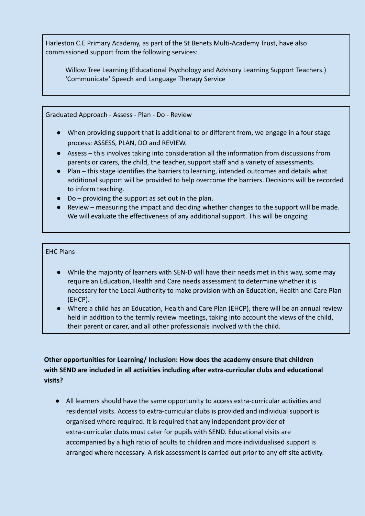Harleston C.E Primary Academy, as part of the St Benets Multi-Academy Trust, have also commissioned support from the following services:

Willow Tree Learning (Educational Psychology and Advisory Learning Support Teachers.) 'Communicate' Speech and Language Therapy Service

Graduated Approach - Assess - Plan - Do - Review

- When providing support that is additional to or different from, we engage in a four stage process: ASSESS, PLAN, DO and REVIEW.
- Assess this involves taking into consideration all the information from discussions from parents or carers, the child, the teacher, support staff and a variety of assessments.
- Plan this stage identifies the barriers to learning, intended outcomes and details what additional support will be provided to help overcome the barriers. Decisions will be recorded to inform teaching.
- Do providing the support as set out in the plan.
- Review measuring the impact and deciding whether changes to the support will be made. We will evaluate the effectiveness of any additional support. This will be ongoing

## EHC Plans

- While the majority of learners with SEN-D will have their needs met in this way, some may require an Education, Health and Care needs assessment to determine whether it is necessary for the Local Authority to make provision with an Education, Health and Care Plan (EHCP).
- Where a child has an Education, Health and Care Plan (EHCP), there will be an annual review held in addition to the termly review meetings, taking into account the views of the child, their parent or carer, and all other professionals involved with the child.

# **Other opportunities for Learning/ Inclusion: How does the academy ensure that children with SEND are included in all activities including after extra-curricular clubs and educational visits?**

● All learners should have the same opportunity to access extra-curricular activities and residential visits. Access to extra-curricular clubs is provided and individual support is organised where required. It is required that any independent provider of extra-curricular clubs must cater for pupils with SEND. Educational visits are accompanied by a high ratio of adults to children and more individualised support is arranged where necessary. A risk assessment is carried out prior to any off site activity.